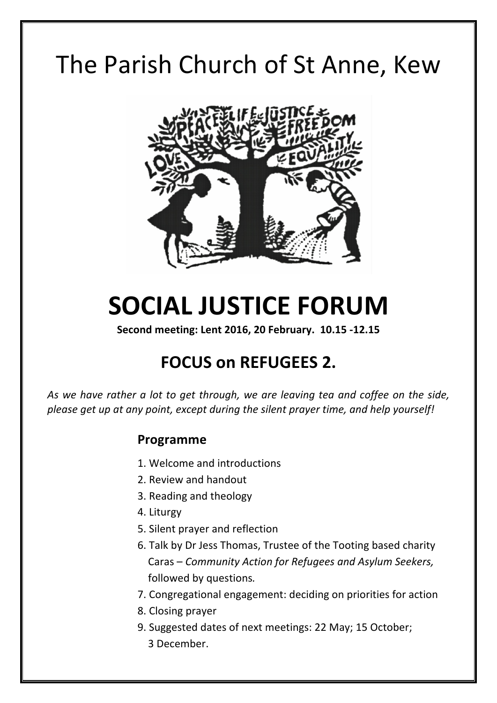# The Parish Church of St Anne, Kew



# **SOCIAL JUSTICE FORUM**

Second meeting: Lent 2016, 20 February. 10.15 -12.15

# **FOCUS on REFUGEES 2.**

As we have rather a lot to get through, we are leaving tea and coffee on the side, please get up at any point, except during the silent prayer time, and help yourself!

# **Programme**

- 1. Welcome and introductions
- 2. Review and handout
- 3. Reading and theology
- 4. Liturgy
- 5. Silent prayer and reflection
- 6. Talk by Dr Jess Thomas, Trustee of the Tooting based charity Caras – *Community Action for Refugees and Asylum Seekers,* followed by questions*.*
- 7. Congregational engagement: deciding on priorities for action
- 8. Closing prayer
- 9. Suggested dates of next meetings: 22 May; 15 October; 3 December.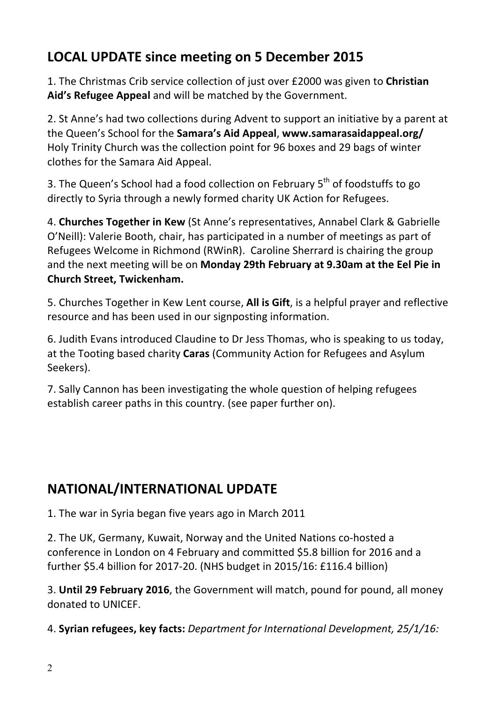# **LOCAL UPDATE since meeting on 5 December 2015**

1. The Christmas Crib service collection of just over £2000 was given to **Christian** Aid's Refugee Appeal and will be matched by the Government.

2. St Anne's had two collections during Advent to support an initiative by a parent at the Queen's School for the **Samara's Aid Appeal, www.samarasaidappeal.org/** Holy Trinity Church was the collection point for 96 boxes and 29 bags of winter clothes for the Samara Aid Appeal.

3. The Queen's School had a food collection on February  $5<sup>th</sup>$  of foodstuffs to go directly to Syria through a newly formed charity UK Action for Refugees.

4. **Churches Together in Kew** (St Anne's representatives, Annabel Clark & Gabrielle O'Neill): Valerie Booth, chair, has participated in a number of meetings as part of Refugees Welcome in Richmond (RWinR). Caroline Sherrard is chairing the group and the next meeting will be on Monday 29th February at 9.30am at the Eel Pie in **Church Street, Twickenham.** 

5. Churches Together in Kew Lent course, **All is Gift**, is a helpful prayer and reflective resource and has been used in our signposting information.

6. Judith Evans introduced Claudine to Dr Jess Thomas, who is speaking to us today, at the Tooting based charity **Caras** (Community Action for Refugees and Asylum Seekers). 

7. Sally Cannon has been investigating the whole question of helping refugees establish career paths in this country. (see paper further on).

# **NATIONAL/INTERNATIONAL UPDATE**

1. The war in Syria began five years ago in March 2011

2. The UK, Germany, Kuwait, Norway and the United Nations co-hosted a conference in London on 4 February and committed \$5.8 billion for 2016 and a further \$5.4 billion for 2017-20. (NHS budget in 2015/16: £116.4 billion)

3. **Until 29 February 2016**, the Government will match, pound for pound, all money donated to UNICEF.

4. **Syrian refugees, key facts:** *Department for International Development, 25/1/16:*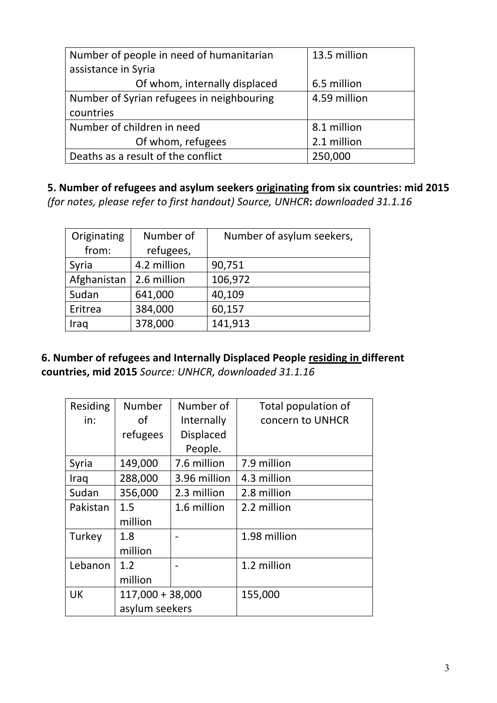| Number of people in need of humanitarian  | 13.5 million |
|-------------------------------------------|--------------|
| assistance in Syria                       |              |
| Of whom, internally displaced             | 6.5 million  |
| Number of Syrian refugees in neighbouring | 4.59 million |
| countries                                 |              |
| Number of children in need                | 8.1 million  |
| Of whom, refugees                         | 2.1 million  |
| Deaths as a result of the conflict        | 250,000      |

5. Number of refugees and asylum seekers **originating** from six countries: mid 2015 *(for notes, please refer to first handout) Source, UNHCR***:** *downloaded 31.1.16*

| Originating | Number of   | Number of asylum seekers, |
|-------------|-------------|---------------------------|
| from:       | refugees,   |                           |
| Syria       | 4.2 million | 90,751                    |
| Afghanistan | 2.6 million | 106,972                   |
| Sudan       | 641,000     | 40,109                    |
| Eritrea     | 384,000     | 60,157                    |
| Iraq        | 378,000     | 141,913                   |

**6. Number of refugees and Internally Displaced People residing in different countries, mid 2015** *Source: UNHCR, downloaded 31.1.16*

| Residing  | Number             | Number of        | Total population of |
|-----------|--------------------|------------------|---------------------|
| in:       | of                 | Internally       | concern to UNHCR    |
|           | refugees           | <b>Displaced</b> |                     |
|           |                    | People.          |                     |
| Syria     | 149,000            | 7.6 million      | 7.9 million         |
| Iraq      | 288,000            | 3.96 million     | 4.3 million         |
| Sudan     | 356,000            | 2.3 million      | 2.8 million         |
| Pakistan  | 1.5                | 1.6 million      | 2.2 million         |
|           | million            |                  |                     |
| Turkey    | 1.8                |                  | 1.98 million        |
|           | million            |                  |                     |
| Lebanon   | 1.2                |                  | 1.2 million         |
|           | million            |                  |                     |
| <b>UK</b> | $117,000 + 38,000$ |                  | 155,000             |
|           | asylum seekers     |                  |                     |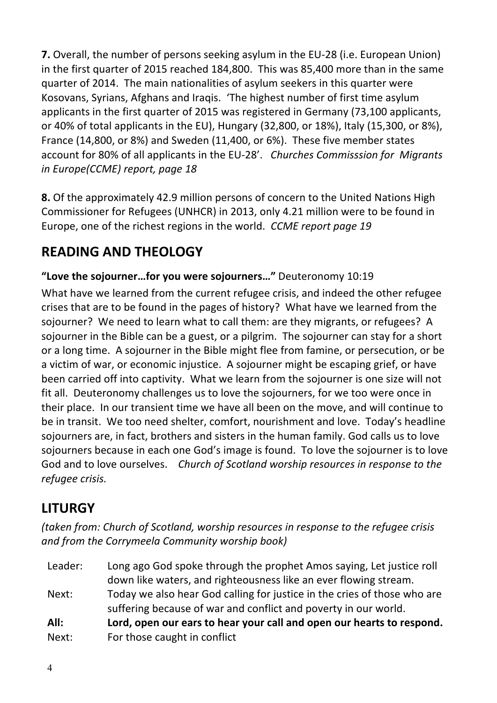**7.** Overall, the number of persons seeking asylum in the EU-28 (i.e. European Union) in the first quarter of 2015 reached 184,800. This was 85,400 more than in the same quarter of 2014. The main nationalities of asylum seekers in this quarter were Kosovans, Syrians, Afghans and Iraqis. 'The highest number of first time asylum applicants in the first quarter of 2015 was registered in Germany (73,100 applicants, or 40% of total applicants in the EU), Hungary  $(32,800, 0r 18%)$ , Italy  $(15,300, 0r 8%)$ , France (14,800, or 8%) and Sweden (11,400, or 6%). These five member states account for 80% of all applicants in the EU-28'. Churches Commisssion for Migrants *in* Europe(CCME) report, page 18

**8.** Of the approximately 42.9 million persons of concern to the United Nations High Commissioner for Refugees (UNHCR) in 2013, only 4.21 million were to be found in Europe, one of the richest regions in the world. *CCME report page 19* 

# **READING AND THEOLOGY**

"Love the sojourner...for you were sojourners..." Deuteronomy 10:19

What have we learned from the current refugee crisis, and indeed the other refugee crises that are to be found in the pages of history? What have we learned from the sojourner? We need to learn what to call them: are they migrants, or refugees? A sojourner in the Bible can be a guest, or a pilgrim. The sojourner can stay for a short or a long time. A sojourner in the Bible might flee from famine, or persecution, or be a victim of war, or economic injustice. A sojourner might be escaping grief, or have been carried off into captivity. What we learn from the sojourner is one size will not fit all. Deuteronomy challenges us to love the sojourners, for we too were once in their place. In our transient time we have all been on the move, and will continue to be in transit. We too need shelter, comfort, nourishment and love. Today's headline sojourners are, in fact, brothers and sisters in the human family. God calls us to love sojourners because in each one God's image is found. To love the sojourner is to love God and to love ourselves. Church of Scotland worship resources in response to the *refugee crisis.* 

# **LITURGY**

*(taken from: Church of Scotland, worship resources in response to the refugee crisis* and from the Corrymeela Community worship book)

Leader: Long ago God spoke through the prophet Amos saying, Let justice roll down like waters, and righteousness like an ever flowing stream. Next: Today we also hear God calling for justice in the cries of those who are suffering because of war and conflict and poverty in our world. All: Lord, open our ears to hear your call and open our hearts to respond. Next: For those caught in conflict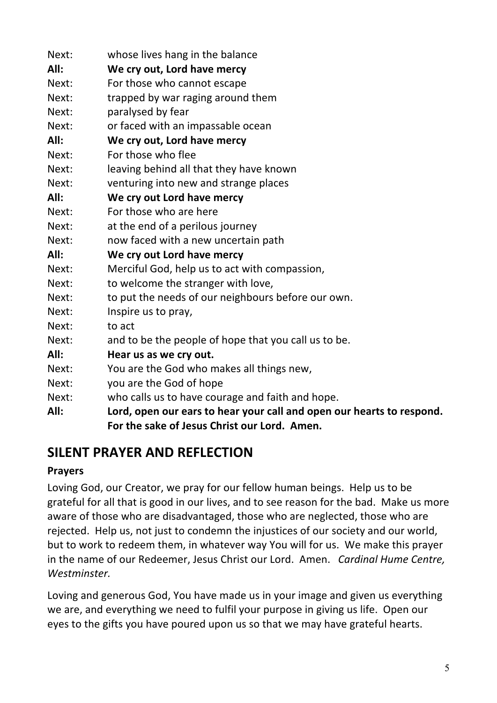| Next: | whose lives hang in the balance                                       |  |
|-------|-----------------------------------------------------------------------|--|
| All:  | We cry out, Lord have mercy                                           |  |
| Next: | For those who cannot escape                                           |  |
| Next: | trapped by war raging around them                                     |  |
| Next: | paralysed by fear                                                     |  |
| Next: | or faced with an impassable ocean                                     |  |
| All:  | We cry out, Lord have mercy                                           |  |
| Next: | For those who flee                                                    |  |
| Next: | leaving behind all that they have known                               |  |
| Next: | venturing into new and strange places                                 |  |
| All:  | We cry out Lord have mercy                                            |  |
| Next: | For those who are here                                                |  |
| Next: | at the end of a perilous journey                                      |  |
| Next: | now faced with a new uncertain path                                   |  |
| All:  | We cry out Lord have mercy                                            |  |
| Next: | Merciful God, help us to act with compassion,                         |  |
| Next: | to welcome the stranger with love,                                    |  |
| Next: | to put the needs of our neighbours before our own.                    |  |
| Next: | Inspire us to pray,                                                   |  |
| Next: | to act                                                                |  |
| Next: | and to be the people of hope that you call us to be.                  |  |
| All:  | Hear us as we cry out.                                                |  |
| Next: | You are the God who makes all things new,                             |  |
| Next: | you are the God of hope                                               |  |
| Next: | who calls us to have courage and faith and hope.                      |  |
| All:  | Lord, open our ears to hear your call and open our hearts to respond. |  |
|       | For the sake of Jesus Christ our Lord. Amen.                          |  |

# **SILENT PRAYER AND REFLECTION**

# **Prayers**

Loving God, our Creator, we pray for our fellow human beings. Help us to be grateful for all that is good in our lives, and to see reason for the bad. Make us more aware of those who are disadvantaged, those who are neglected, those who are rejected. Help us, not just to condemn the injustices of our society and our world, but to work to redeem them, in whatever way You will for us. We make this prayer in the name of our Redeemer, Jesus Christ our Lord. Amen. *Cardinal Hume Centre, Westminster.* 

Loving and generous God, You have made us in your image and given us everything we are, and everything we need to fulfil your purpose in giving us life. Open our eyes to the gifts you have poured upon us so that we may have grateful hearts.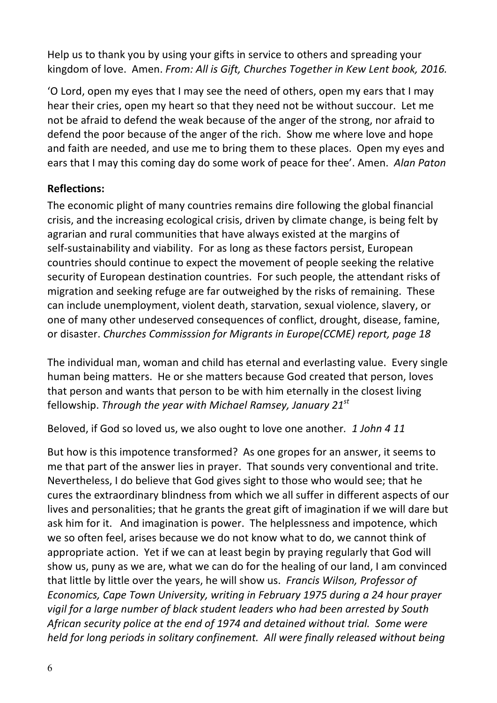Help us to thank you by using your gifts in service to others and spreading your kingdom of love. Amen. *From: All is Gift, Churches Together in Kew Lent book, 2016.* 

'O Lord, open my eyes that I may see the need of others, open my ears that I may hear their cries, open my heart so that they need not be without succour. Let me not be afraid to defend the weak because of the anger of the strong, nor afraid to defend the poor because of the anger of the rich. Show me where love and hope and faith are needed, and use me to bring them to these places. Open my eyes and ears that I may this coming day do some work of peace for thee'. Amen. Alan Paton

## **Reflections:**

The economic plight of many countries remains dire following the global financial crisis, and the increasing ecological crisis, driven by climate change, is being felt by agrarian and rural communities that have always existed at the margins of self-sustainability and viability. For as long as these factors persist, European countries should continue to expect the movement of people seeking the relative security of European destination countries. For such people, the attendant risks of migration and seeking refuge are far outweighed by the risks of remaining. These can include unemployment, violent death, starvation, sexual violence, slavery, or one of many other undeserved consequences of conflict, drought, disease, famine, or disaster. *Churches Commisssion for Migrants in Europe(CCME) report, page 18* 

The individual man, woman and child has eternal and everlasting value. Every single human being matters. He or she matters because God created that person, loves that person and wants that person to be with him eternally in the closest living fellowship. *Through the year with Michael Ramsey, January 21*<sup>*st*</sup>

Beloved, if God so loved us, we also ought to love one another. 1 John 4 11

But how is this impotence transformed? As one gropes for an answer, it seems to me that part of the answer lies in prayer. That sounds very conventional and trite. Nevertheless, I do believe that God gives sight to those who would see; that he cures the extraordinary blindness from which we all suffer in different aspects of our lives and personalities; that he grants the great gift of imagination if we will dare but ask him for it. And imagination is power. The helplessness and impotence, which we so often feel, arises because we do not know what to do, we cannot think of appropriate action. Yet if we can at least begin by praying regularly that God will show us, puny as we are, what we can do for the healing of our land, I am convinced that little by little over the years, he will show us. Francis Wilson, Professor of *Economics, Cape Town University, writing in February 1975 during a 24 hour prayer* vigil for a large number of black student leaders who had been arrested by South African security police at the end of 1974 and detained without trial. Some were *held for long periods in solitary confinement. All were finally released without being*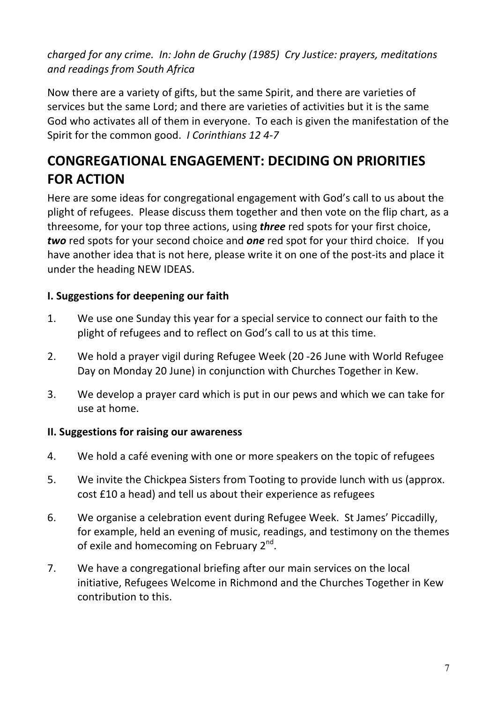*charged for any crime. In: John de Gruchy (1985) Cry Justice: prayers, meditations and readings from South Africa* 

Now there are a variety of gifts, but the same Spirit, and there are varieties of services but the same Lord; and there are varieties of activities but it is the same God who activates all of them in everyone. To each is given the manifestation of the Spirit for the common good. *I Corinthians 12 4-7* 

# **CONGREGATIONAL ENGAGEMENT: DECIDING ON PRIORITIES FOR ACTION**

Here are some ideas for congregational engagement with God's call to us about the plight of refugees. Please discuss them together and then vote on the flip chart, as a threesome, for your top three actions, using **three** red spots for your first choice, *two* red spots for your second choice and **one** red spot for your third choice. If you have another idea that is not here, please write it on one of the post-its and place it under the heading NEW IDEAS.

## **I. Suggestions for deepening our faith**

- 1. We use one Sunday this year for a special service to connect our faith to the plight of refugees and to reflect on God's call to us at this time.
- 2. We hold a prayer vigil during Refugee Week (20 -26 June with World Refugee Day on Monday 20 June) in conjunction with Churches Together in Kew.
- 3. We develop a prayer card which is put in our pews and which we can take for use at home.

## **II. Suggestions for raising our awareness**

- 4. We hold a café evening with one or more speakers on the topic of refugees
- 5. We invite the Chickpea Sisters from Tooting to provide lunch with us (approx. cost £10 a head) and tell us about their experience as refugees
- 6. We organise a celebration event during Refugee Week. St James' Piccadilly, for example, held an evening of music, readings, and testimony on the themes of exile and homecoming on February  $2^{nd}$ .
- 7. We have a congregational briefing after our main services on the local initiative, Refugees Welcome in Richmond and the Churches Together in Kew contribution to this.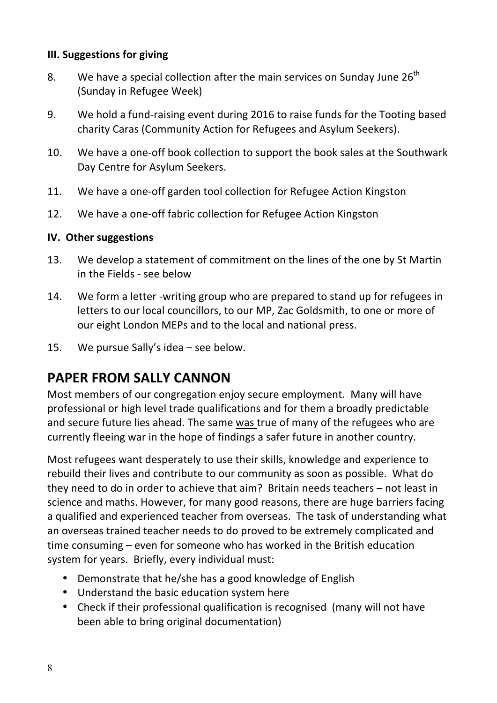#### **III. Suggestions for giving**

- 8. We have a special collection after the main services on Sunday June  $26<sup>th</sup>$ (Sunday in Refugee Week)
- 9. We hold a fund-raising event during 2016 to raise funds for the Tooting based charity Caras (Community Action for Refugees and Asylum Seekers).
- 10. We have a one-off book collection to support the book sales at the Southwark Day Centre for Asylum Seekers.
- 11. We have a one-off garden tool collection for Refugee Action Kingston
- 12. We have a one-off fabric collection for Refugee Action Kingston

#### **IV.** Other suggestions

- 13. We develop a statement of commitment on the lines of the one by St Martin in the Fields - see below
- 14. We form a letter -writing group who are prepared to stand up for refugees in letters to our local councillors, to our MP, Zac Goldsmith, to one or more of our eight London MEPs and to the local and national press.
- 15. We pursue Sally's idea  $-$  see below.

# **PAPER FROM SALLY CANNON**

Most members of our congregation enjoy secure employment. Many will have professional or high level trade qualifications and for them a broadly predictable and secure future lies ahead. The same was true of many of the refugees who are currently fleeing war in the hope of findings a safer future in another country.

Most refugees want desperately to use their skills, knowledge and experience to rebuild their lives and contribute to our community as soon as possible. What do they need to do in order to achieve that  $\alpha$ im? Britain needs teachers  $-$  not least in science and maths. However, for many good reasons, there are huge barriers facing a qualified and experienced teacher from overseas. The task of understanding what an overseas trained teacher needs to do proved to be extremely complicated and time consuming  $-$  even for someone who has worked in the British education system for years. Briefly, every individual must:

- Demonstrate that he/she has a good knowledge of English
- Understand the basic education system here
- Check if their professional qualification is recognised (many will not have been able to bring original documentation)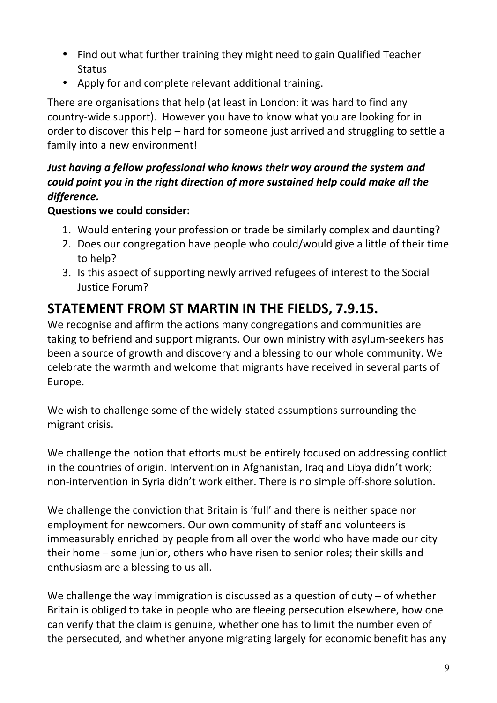- Find out what further training they might need to gain Qualified Teacher **Status**
- Apply for and complete relevant additional training.

There are organisations that help (at least in London: it was hard to find any country-wide support). However you have to know what you are looking for in order to discover this help  $-$  hard for someone just arrived and struggling to settle a family into a new environment!

# *Just having a fellow professional who knows their way around the system and could point you in the right direction of more sustained help could make all the difference.*

# **Questions we could consider:**

- 1. Would entering your profession or trade be similarly complex and daunting?
- 2. Does our congregation have people who could/would give a little of their time to help?
- 3. Is this aspect of supporting newly arrived refugees of interest to the Social Justice Forum?

# **STATEMENT FROM ST MARTIN IN THE FIELDS, 7.9.15.**

We recognise and affirm the actions many congregations and communities are taking to befriend and support migrants. Our own ministry with asylum-seekers has been a source of growth and discovery and a blessing to our whole community. We celebrate the warmth and welcome that migrants have received in several parts of Europe.

We wish to challenge some of the widely-stated assumptions surrounding the migrant crisis.

We challenge the notion that efforts must be entirely focused on addressing conflict in the countries of origin. Intervention in Afghanistan, Iraq and Libya didn't work; non-intervention in Syria didn't work either. There is no simple off-shore solution.

We challenge the conviction that Britain is 'full' and there is neither space nor employment for newcomers. Our own community of staff and volunteers is immeasurably enriched by people from all over the world who have made our city their home – some junior, others who have risen to senior roles; their skills and enthusiasm are a blessing to us all.

We challenge the way immigration is discussed as a question of duty  $-$  of whether Britain is obliged to take in people who are fleeing persecution elsewhere, how one can verify that the claim is genuine, whether one has to limit the number even of the persecuted, and whether anyone migrating largely for economic benefit has any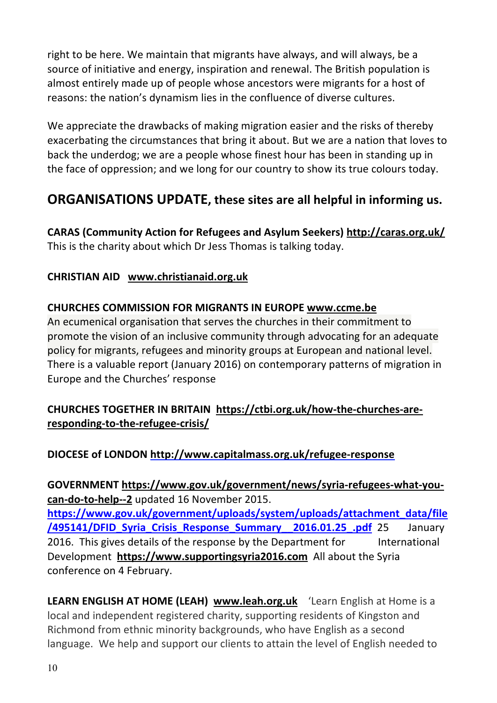right to be here. We maintain that migrants have always, and will always, be a source of initiative and energy, inspiration and renewal. The British population is almost entirely made up of people whose ancestors were migrants for a host of reasons: the nation's dynamism lies in the confluence of diverse cultures.

We appreciate the drawbacks of making migration easier and the risks of thereby exacerbating the circumstances that bring it about. But we are a nation that loves to back the underdog; we are a people whose finest hour has been in standing up in the face of oppression; and we long for our country to show its true colours today.

# **ORGANISATIONS UPDATE, these sites are all helpful in informing us.**

**CARAS (Community Action for Refugees and Asylum Seekers) http://caras.org.uk/** This is the charity about which Dr Jess Thomas is talking today.

## **CHRISTIAN AID www.christianaid.org.uk**

## **CHURCHES COMMISSION FOR MIGRANTS IN EUROPE www.ccme.be**

An ecumenical organisation that serves the churches in their commitment to promote the vision of an inclusive community through advocating for an adequate policy for migrants, refugees and minority groups at European and national level. There is a valuable report (January 2016) on contemporary patterns of migration in Europe and the Churches' response

# **CHURCHES TOGETHER IN BRITAIN https://ctbi.org.uk/how-the-churches-areresponding-to-the-refugee-crisis/**

## **DIOCESE of LONDON http://www.capitalmass.org.uk/refugee-response**

**GOVERNMENT https://www.gov.uk/government/news/syria-refugees-what-you**can-do-to-help--2 updated 16 November 2015. **https://www.gov.uk/government/uploads/system/uploads/attachment\_data/file /495141/DFID Syria Crisis Response Summary 2016.01.25 .pdf** 25 January 2016. This gives details of the response by the Department for lnternational Development **https://www.supportingsyria2016.com** All about the Syria conference on 4 February.

**LEARN ENGLISH AT HOME (LEAH) www.leah.org.uk** 'Learn English at Home is a local and independent registered charity, supporting residents of Kingston and Richmond from ethnic minority backgrounds, who have English as a second language. We help and support our clients to attain the level of English needed to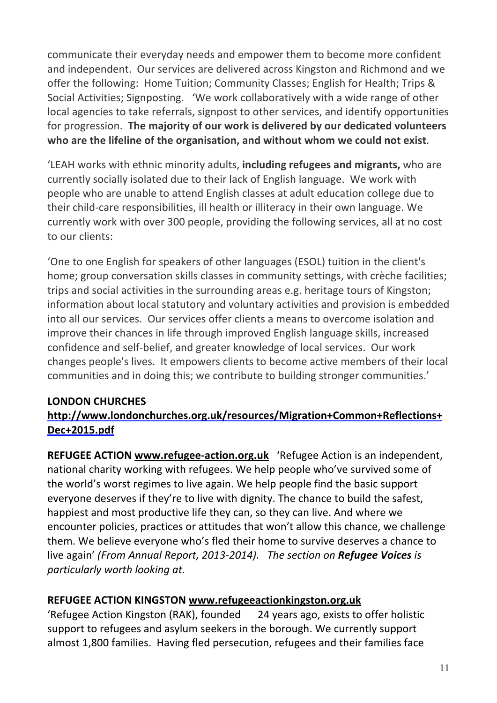communicate their everyday needs and empower them to become more confident and independent. Our services are delivered across Kingston and Richmond and we offer the following: Home Tuition; Community Classes; English for Health; Trips & Social Activities; Signposting. 'We work collaboratively with a wide range of other local agencies to take referrals, signpost to other services, and identify opportunities for progression. The majority of our work is delivered by our dedicated volunteers who are the lifeline of the organisation, and without whom we could not exist.

'LEAH works with ethnic minority adults, **including refugees and migrants**, who are currently socially isolated due to their lack of English language. We work with people who are unable to attend English classes at adult education college due to their child-care responsibilities, ill health or illiteracy in their own language. We currently work with over 300 people, providing the following services, all at no cost to our clients:

'One to one English for speakers of other languages (ESOL) tuition in the client's home; group conversation skills classes in community settings, with crèche facilities; trips and social activities in the surrounding areas e.g. heritage tours of Kingston; information about local statutory and voluntary activities and provision is embedded into all our services. Our services offer clients a means to overcome isolation and improve their chances in life through improved English language skills, increased confidence and self-belief, and greater knowledge of local services. Our work changes people's lives. It empowers clients to become active members of their local communities and in doing this; we contribute to building stronger communities.'

## **LONDON CHURCHES**

# **http://www.londonchurches.org.uk/resources/Migration+Common+Reflections+ Dec+2015.pdf**

**REFUGEE ACTION www.refugee-action.org.uk** 'Refugee Action is an independent, national charity working with refugees. We help people who've survived some of the world's worst regimes to live again. We help people find the basic support everyone deserves if they're to live with dignity. The chance to build the safest, happiest and most productive life they can, so they can live. And where we encounter policies, practices or attitudes that won't allow this chance, we challenge them. We believe everyone who's fled their home to survive deserves a chance to live again' (From Annual Report, 2013-2014). The section on **Refugee Voices** is *particularly* worth *looking at.* 

## **REFUGEE ACTION KINGSTON www.refugeeactionkingston.org.uk**

'Refugee Action Kingston (RAK), founded 24 years ago, exists to offer holistic support to refugees and asylum seekers in the borough. We currently support almost 1,800 families. Having fled persecution, refugees and their families face